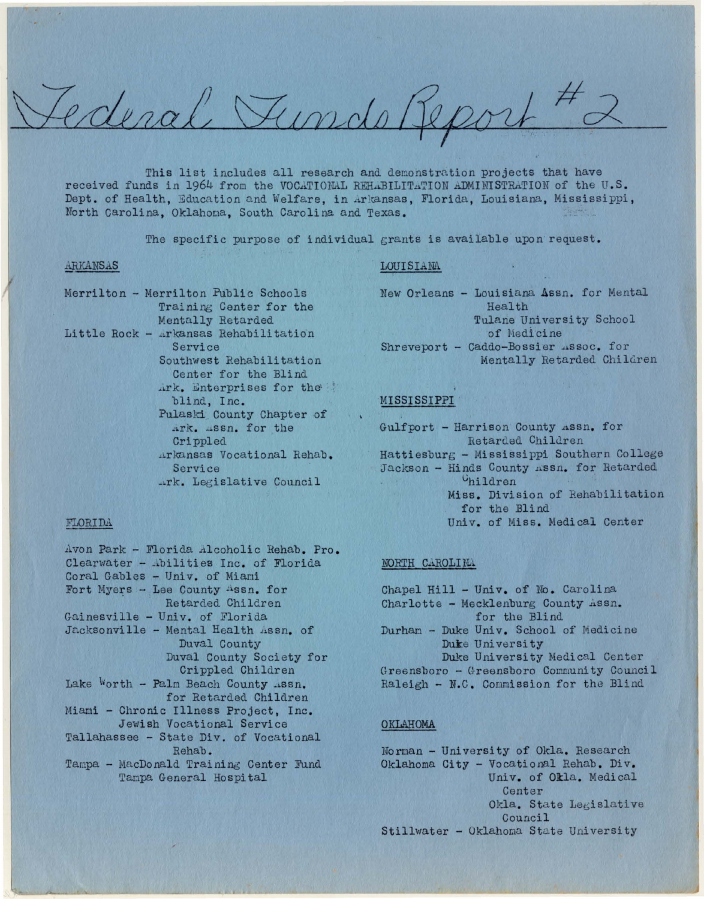Ederal Tundo Report

This list includes all research and demonstration projects that have received funds in 1964 from the VOCATIONAL REHABILITATION ADMINISTRATION of the U.S. Dept. of Health, Education and Welfare, in Arkansas, Florida, Louisiana, Mississippi, North Carolina, Oklahoma, South Carolina and Texas.

The specific purpose of individual grants is available upon request.

#### ARKANSAS

Merrilton - Merrilton Public Schools Training Center for the Mentally Retarded Little Rock - Arkansas Rehabilitation Service Southwest Rehabilitation Center for the Blind Ark. Enterprises for the blind, Inc. Pulaski County Chapter of Ark. Assn. for the Crippled Arkansas Vocational Rehab. Service Ark. Legislative Council

#### LOUISIANA

New Orleans - Louisiana Assn. for Mental Health Tulane University School of Medicine Shreveport - Caddo-Bossier Assoc. for Mentally Retarded Children

### MISSISSIPPI

Gulfport - Harrison County Assn. for Retarded Children Hattiesburg - Mississippi Southern College Jackson - Hinds County Assn. for Retarded Children Miss. Division of Rehabilitation for the Blind Univ. of Miss. Medical Center

#### NORTH CAROLINA

Chapel Hill - Univ. of No. Carolina Charlotte - Mecklenburg County Assn. for the Blind Durham - Duke Univ. School of Medicine Duke University Duke University Medical Center Greensboro - Greensboro Community Council Raleigh - N.C. Commission for the Blind

#### OKLAHOMA

Norman - University of Okla. Research Oklahoma City - Vocational Rehab. Div. Univ. of Okla. Medical Center Okla. State Legislative Council Stillwater - Oklahoma State University

Avon Park - Florida Alcoholic Rehab. Pro. Clearwater - Abilities Inc. of Florida Coral Gables - Univ. of Miami Fort Myers - Lee County Assn. for Retarded Children Gainesville - Univ. of Florida Jacksonville - Mental Health Assn. of Duval County Duval County Society for Crippled Children Lake Worth - Palm Beach County .ssn. for Retarded Children Miami - Chronic Illness Project, Inc. Jewish Vocational Service Tallahassee - State Div. of Vocational Rehab. Tampa - MacDonald Training Center Fund Tampa General Hospital

FLORIDA